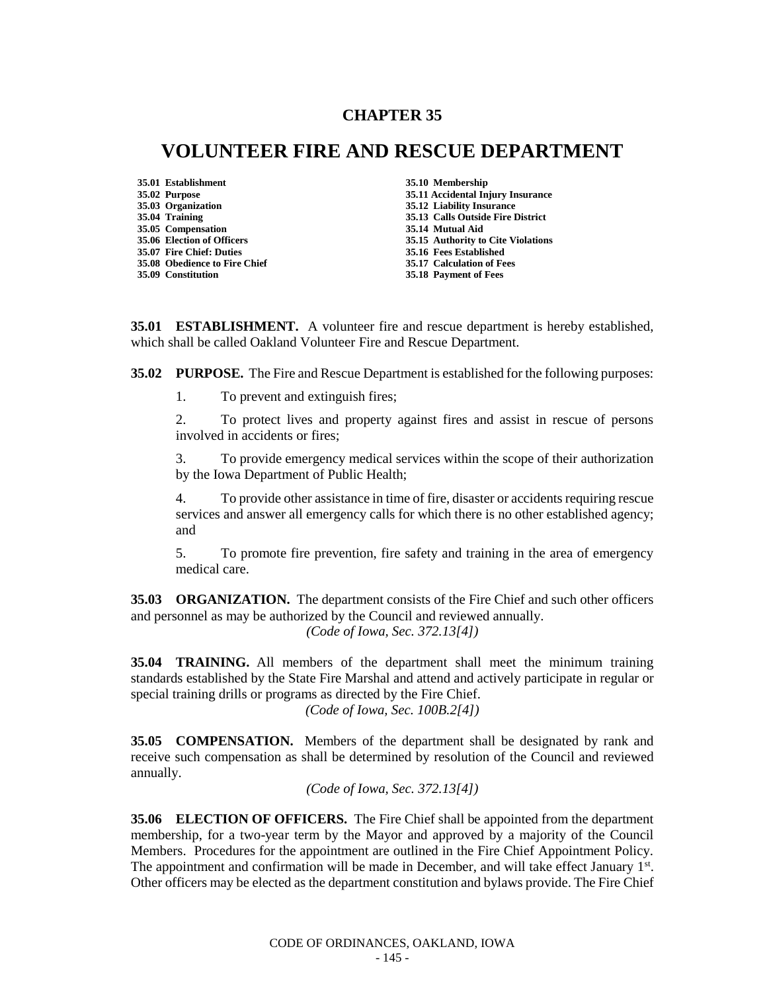# **CHAPTER 35**

# **VOLUNTEER FIRE AND RESCUE DEPARTMENT**

**35.01 Establishment 35.10 Membership 35.05 Compensation 35.07 Fire Chief: Duties 35.16 Fees Established 35.08 Obedience to Fire Chief 35.17 Calculation of Fees**

**35.02 Purpose 35.11 Accidental Injury Insurance 35.03 Organization 35.12 Liability Insurance 35.04 Training 35.13 Calls Outside Fire District 35.06 Election of Officers 35.15 Authority to Cite Violations 35.18 Payment of Fees** 

**35.01 ESTABLISHMENT.** A volunteer fire and rescue department is hereby established, which shall be called Oakland Volunteer Fire and Rescue Department.

**35.02 PURPOSE.** The Fire and Rescue Department is established for the following purposes:

1. To prevent and extinguish fires;

2. To protect lives and property against fires and assist in rescue of persons involved in accidents or fires;

3. To provide emergency medical services within the scope of their authorization by the Iowa Department of Public Health;

4. To provide other assistance in time of fire, disaster or accidents requiring rescue services and answer all emergency calls for which there is no other established agency; and

5. To promote fire prevention, fire safety and training in the area of emergency medical care.

**35.03 ORGANIZATION.** The department consists of the Fire Chief and such other officers and personnel as may be authorized by the Council and reviewed annually. *(Code of Iowa, Sec. 372.13[4])*

**35.04 TRAINING.** All members of the department shall meet the minimum training standards established by the State Fire Marshal and attend and actively participate in regular or special training drills or programs as directed by the Fire Chief.

*(Code of Iowa, Sec. 100B.2[4])*

**35.05 COMPENSATION.** Members of the department shall be designated by rank and receive such compensation as shall be determined by resolution of the Council and reviewed annually.

*(Code of Iowa, Sec. 372.13[4])*

**35.06 ELECTION OF OFFICERS.** The Fire Chief shall be appointed from the department membership, for a two-year term by the Mayor and approved by a majority of the Council Members. Procedures for the appointment are outlined in the Fire Chief Appointment Policy. The appointment and confirmation will be made in December, and will take effect January 1st. Other officers may be elected as the department constitution and bylaws provide. The Fire Chief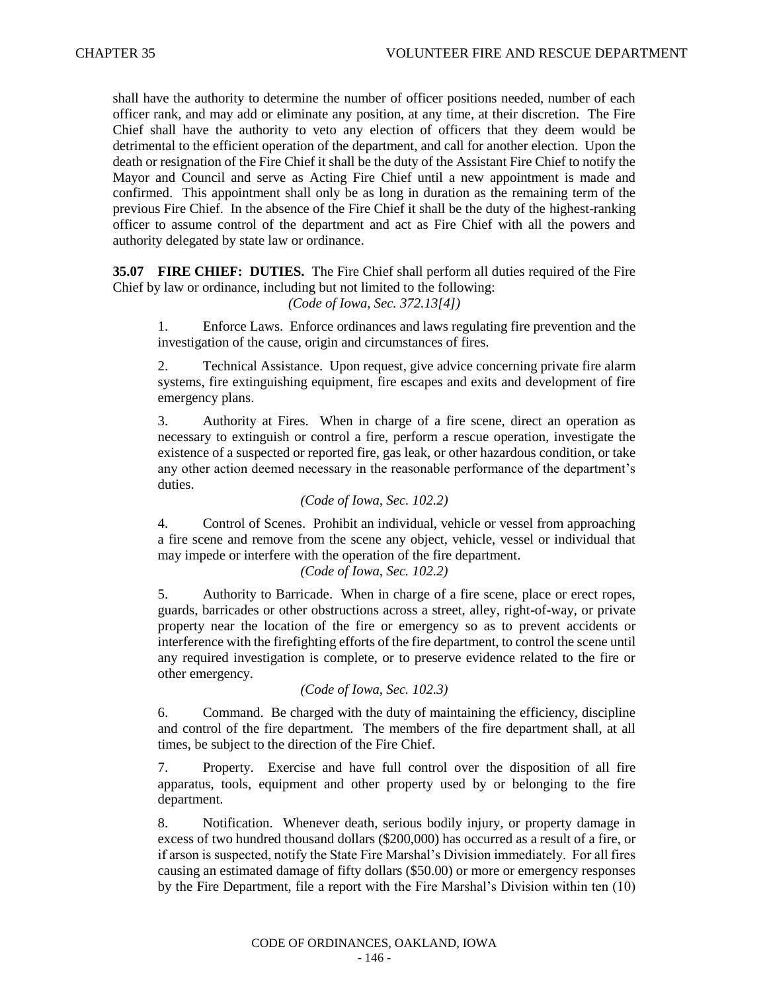shall have the authority to determine the number of officer positions needed, number of each officer rank, and may add or eliminate any position, at any time, at their discretion. The Fire Chief shall have the authority to veto any election of officers that they deem would be detrimental to the efficient operation of the department, and call for another election. Upon the death or resignation of the Fire Chief it shall be the duty of the Assistant Fire Chief to notify the Mayor and Council and serve as Acting Fire Chief until a new appointment is made and confirmed. This appointment shall only be as long in duration as the remaining term of the previous Fire Chief. In the absence of the Fire Chief it shall be the duty of the highest-ranking officer to assume control of the department and act as Fire Chief with all the powers and authority delegated by state law or ordinance.

**35.07 FIRE CHIEF: DUTIES.** The Fire Chief shall perform all duties required of the Fire Chief by law or ordinance, including but not limited to the following:

## *(Code of Iowa, Sec. 372.13[4])*

1. Enforce Laws. Enforce ordinances and laws regulating fire prevention and the investigation of the cause, origin and circumstances of fires.

2. Technical Assistance. Upon request, give advice concerning private fire alarm systems, fire extinguishing equipment, fire escapes and exits and development of fire emergency plans.

3. Authority at Fires. When in charge of a fire scene, direct an operation as necessary to extinguish or control a fire, perform a rescue operation, investigate the existence of a suspected or reported fire, gas leak, or other hazardous condition, or take any other action deemed necessary in the reasonable performance of the department's duties.

#### *(Code of Iowa, Sec. 102.2)*

4. Control of Scenes. Prohibit an individual, vehicle or vessel from approaching a fire scene and remove from the scene any object, vehicle, vessel or individual that may impede or interfere with the operation of the fire department.

## *(Code of Iowa, Sec. 102.2)*

5. Authority to Barricade. When in charge of a fire scene, place or erect ropes, guards, barricades or other obstructions across a street, alley, right-of-way, or private property near the location of the fire or emergency so as to prevent accidents or interference with the firefighting efforts of the fire department, to control the scene until any required investigation is complete, or to preserve evidence related to the fire or other emergency.

#### *(Code of Iowa, Sec. 102.3)*

6. Command. Be charged with the duty of maintaining the efficiency, discipline and control of the fire department. The members of the fire department shall, at all times, be subject to the direction of the Fire Chief.

7. Property. Exercise and have full control over the disposition of all fire apparatus, tools, equipment and other property used by or belonging to the fire department.

8. Notification. Whenever death, serious bodily injury, or property damage in excess of two hundred thousand dollars (\$200,000) has occurred as a result of a fire, or if arson is suspected, notify the State Fire Marshal's Division immediately. For all fires causing an estimated damage of fifty dollars (\$50.00) or more or emergency responses by the Fire Department, file a report with the Fire Marshal's Division within ten (10)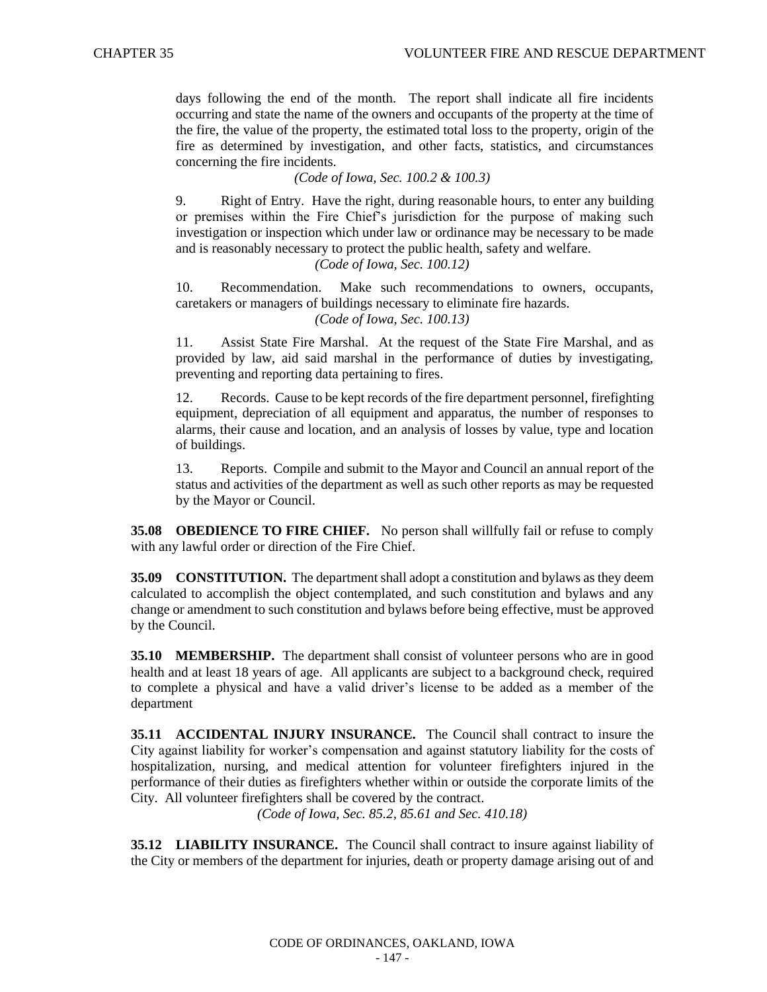days following the end of the month. The report shall indicate all fire incidents occurring and state the name of the owners and occupants of the property at the time of the fire, the value of the property, the estimated total loss to the property, origin of the fire as determined by investigation, and other facts, statistics, and circumstances concerning the fire incidents.

*(Code of Iowa, Sec. 100.2 & 100.3)*

9. Right of Entry. Have the right, during reasonable hours, to enter any building or premises within the Fire Chief's jurisdiction for the purpose of making such investigation or inspection which under law or ordinance may be necessary to be made and is reasonably necessary to protect the public health, safety and welfare.

*(Code of Iowa, Sec. 100.12)*

10. Recommendation. Make such recommendations to owners, occupants, caretakers or managers of buildings necessary to eliminate fire hazards.

*(Code of Iowa, Sec. 100.13)*

11. Assist State Fire Marshal. At the request of the State Fire Marshal, and as provided by law, aid said marshal in the performance of duties by investigating, preventing and reporting data pertaining to fires.

12. Records. Cause to be kept records of the fire department personnel, firefighting equipment, depreciation of all equipment and apparatus, the number of responses to alarms, their cause and location, and an analysis of losses by value, type and location of buildings.

13. Reports. Compile and submit to the Mayor and Council an annual report of the status and activities of the department as well as such other reports as may be requested by the Mayor or Council.

**35.08 OBEDIENCE TO FIRE CHIEF.** No person shall willfully fail or refuse to comply with any lawful order or direction of the Fire Chief.

**35.09 CONSTITUTION.** The department shall adopt a constitution and bylaws as they deem calculated to accomplish the object contemplated, and such constitution and bylaws and any change or amendment to such constitution and bylaws before being effective, must be approved by the Council.

**35.10 MEMBERSHIP.** The department shall consist of volunteer persons who are in good health and at least 18 years of age. All applicants are subject to a background check, required to complete a physical and have a valid driver's license to be added as a member of the department

**35.11 ACCIDENTAL INJURY INSURANCE.** The Council shall contract to insure the City against liability for worker's compensation and against statutory liability for the costs of hospitalization, nursing, and medical attention for volunteer firefighters injured in the performance of their duties as firefighters whether within or outside the corporate limits of the City. All volunteer firefighters shall be covered by the contract.

*(Code of Iowa, Sec. 85.2, 85.61 and Sec. 410.18)*

**35.12 LIABILITY INSURANCE.** The Council shall contract to insure against liability of the City or members of the department for injuries, death or property damage arising out of and